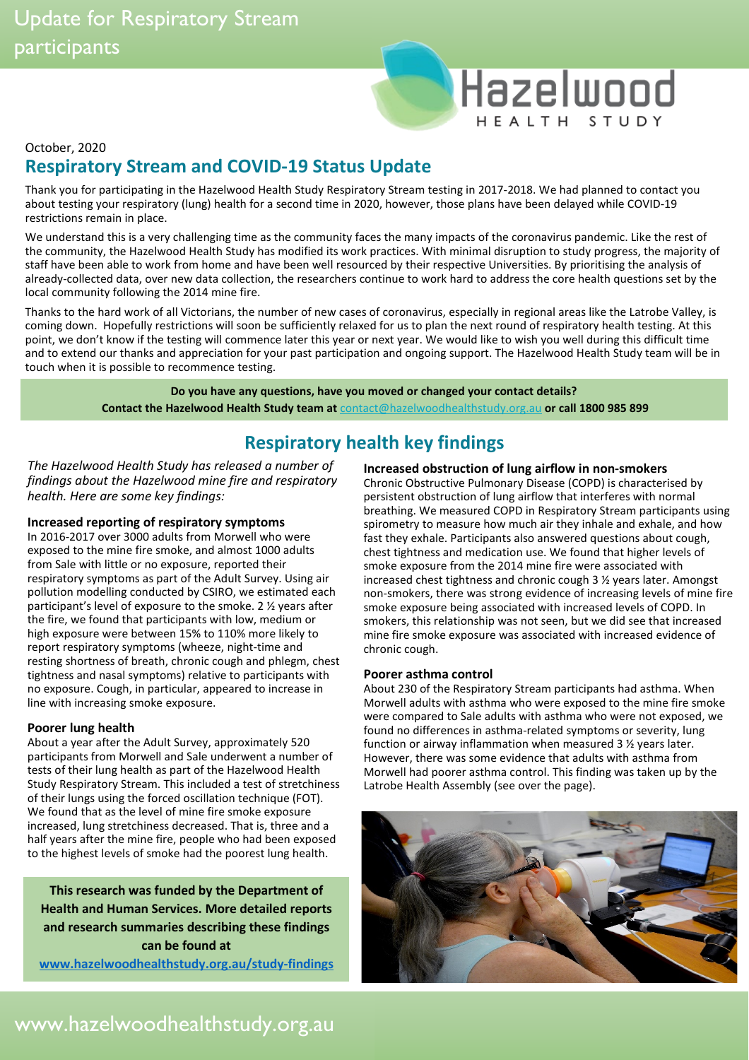# Hazelwood HEALTH STUDY

### October, 2020 **Respiratory Stream and COVID-19 Status Update**

Thank you for participating in the Hazelwood Health Study Respiratory Stream testing in 2017-2018. We had planned to contact you about testing your respiratory (lung) health for a second time in 2020, however, those plans have been delayed while COVID-19 restrictions remain in place.

We understand this is a very challenging time as the community faces the many impacts of the coronavirus pandemic. Like the rest of the community, the Hazelwood Health Study has modified its work practices. With minimal disruption to study progress, the majority of staff have been able to work from home and have been well resourced by their respective Universities. By prioritising the analysis of already-collected data, over new data collection, the researchers continue to work hard to address the core health questions set by the local community following the 2014 mine fire.

Thanks to the hard work of all Victorians, the number of new cases of coronavirus, especially in regional areas like the Latrobe Valley, is coming down. Hopefully restrictions will soon be sufficiently relaxed for us to plan the next round of respiratory health testing. At this point, we don't know if the testing will commence later this year or next year. We would like to wish you well during this difficult time and to extend our thanks and appreciation for your past participation and ongoing support. The Hazelwood Health Study team will be in touch when it is possible to recommence testing.

> **Do you have any questions, have you moved or changed your contact details? Contact the Hazelwood Health Study team at** [contact@hazelwoodhealthstudy.org.au](mailto:contact@hazelwoodhealthstudy.org.au) **or call 1800 985 899**

## **Respiratory health key findings**

*The Hazelwood Health Study has released a number of findings about the Hazelwood mine fire and respiratory health. Here are some key findings:*

### **Increased reporting of respiratory symptoms**

In 2016-2017 over 3000 adults from Morwell who were exposed to the mine fire smoke, and almost 1000 adults from Sale with little or no exposure, reported their respiratory symptoms as part of the Adult Survey. Using air pollution modelling conducted by CSIRO, we estimated each participant's level of exposure to the smoke. 2 ½ years after the fire, we found that participants with low, medium or high exposure were between 15% to 110% more likely to report respiratory symptoms (wheeze, night-time and resting shortness of breath, chronic cough and phlegm, chest tightness and nasal symptoms) relative to participants with no exposure. Cough, in particular, appeared to increase in line with increasing smoke exposure.

#### **Poorer lung health**

About a year after the Adult Survey, approximately 520 participants from Morwell and Sale underwent a number of tests of their lung health as part of the Hazelwood Health Study Respiratory Stream. This included a test of stretchiness of their lungs using the forced oscillation technique (FOT). We found that as the level of mine fire smoke exposure increased, lung stretchiness decreased. That is, three and a half years after the mine fire, people who had been exposed to the highest levels of smoke had the poorest lung health.

**This research was funded by the Department of Health and Human Services. More detailed reports and research summaries describing these findings can be found at** 

**[www.hazelwoodhealthstudy.org.au/study-findings](http://www.hazelwoodhealthstudy.org.au/study-findings)**

### **Increased obstruction of lung airflow in non-smokers**

Chronic Obstructive Pulmonary Disease (COPD) is characterised by persistent obstruction of lung airflow that interferes with normal breathing. We measured COPD in Respiratory Stream participants using spirometry to measure how much air they inhale and exhale, and how fast they exhale. Participants also answered questions about cough, chest tightness and medication use. We found that higher levels of smoke exposure from the 2014 mine fire were associated with increased chest tightness and chronic cough 3 ½ years later. Amongst non-smokers, there was strong evidence of increasing levels of mine fire smoke exposure being associated with increased levels of COPD. In smokers, this relationship was not seen, but we did see that increased mine fire smoke exposure was associated with increased evidence of chronic cough.

#### **Poorer asthma control**

About 230 of the Respiratory Stream participants had asthma. When Morwell adults with asthma who were exposed to the mine fire smoke were compared to Sale adults with asthma who were not exposed, we found no differences in asthma-related symptoms or severity, lung function or airway inflammation when measured 3 ½ years later. However, there was some evidence that adults with asthma from Morwell had poorer asthma control. This finding was taken up by the Latrobe Health Assembly (see over the page).